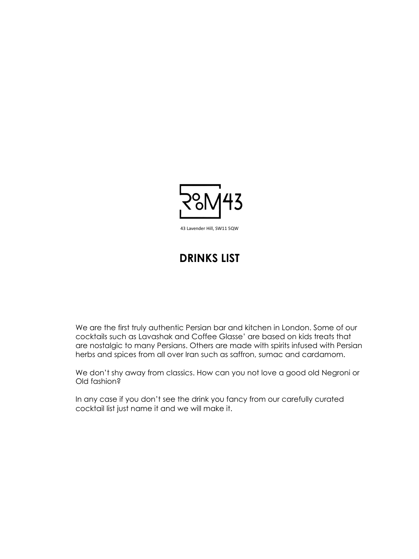

43 Lavender Hill, SW11 5QW

## **DRINKS LIST**

We are the first truly authentic Persian bar and kitchen in London. Some of our cocktails such as Lavashak and Coffee Glasse' are based on kids treats that are nostalgic to many Persians. Others are made with spirits infused with Persian herbs and spices from all over Iran such as saffron, sumac and cardamom.

We don't shy away from classics. How can you not love a good old Negroni or

Old fashion?

In any case if you don't see the drink you fancy from our carefully curated cocktail list just name it and we will make it.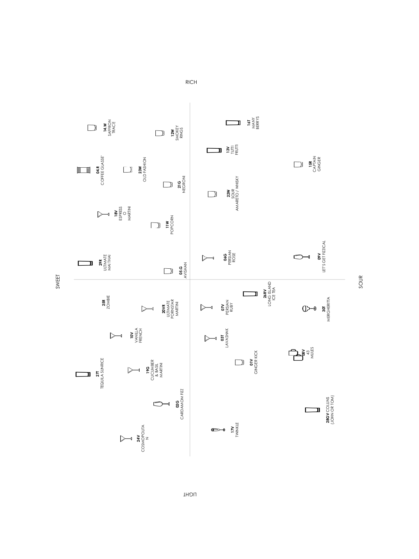LIGHT

RICH

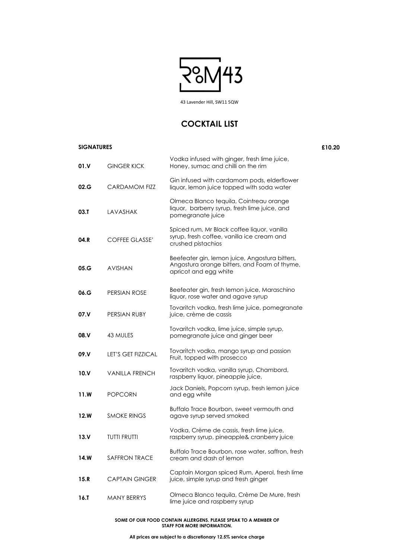### **SIGNATURES £10.20**

**01.V** GINGER KICK Vodka infused with ginger, fresh lime juice, Honey, sumac and chilli on the rim **02.G** CARDAMOM FIZZ Gin infused with cardamom pods, elderflower liquor, lemon juice topped with soda water **03.T** LAVASHAK Olmeca Blanco tequila, Cointreau orange liquor, barberry syrup, fresh lime juice, and pomegranate juice **04.R** COFFEE GLASSE' Spiced rum, Mr Black coffee liquor, vanilla syrup, fresh coffee, vanilla ice cream and crushed pistachios **05.G** AVISHAN Beefeater gin, lemon juice, Angostura bitters, Angostura orange bitters, and Foam of thyme, apricot and egg white **06.G** PERSIAN ROSE Beefeater gin, fresh lemon juice, Maraschino liquor, rose water and agave syrup **07.V** PERSIAN RUBY Tovaritch vodka, fresh lime juice, pomegranate juice, crème de cassis **08.V** 43 MULES Tovaritch vodka, lime juice, simple syrup, pomegranate juice and ginger beer **09.V** LET'S GET FIZZICAL Tovaritch vodka, mango syrup and passion Fruit, topped with prosecco **10.V** VANILLA FRENCH Tovaritch vodka, vanilla syrup, Chambord,

| 10. V   | VANILLA FRENCH        | raspberry liquor, pineapple juice,                                                       |
|---------|-----------------------|------------------------------------------------------------------------------------------|
| 11.W    | <b>POPCORN</b>        | Jack Daniels, Popcorn syrup, fresh lemon juice<br>and egg white                          |
| 12.W    | <b>SMOKE RINGS</b>    | Buffalo Trace Bourbon, sweet vermouth and<br>agave syrup served smoked                   |
| 13. V   | <b>TUTTI FRUTTI</b>   | Vodka, Crème de cassis, fresh lime juice,<br>raspberry syrup, pineapple& cranberry juice |
| 14.W    | <b>SAFFRON TRACE</b>  | Buffalo Trace Bourbon, rose water, saffron, fresh<br>cream and dash of lemon             |
| 15.R    | <b>CAPTAIN GINGER</b> | Captain Morgan spiced Rum, Aperol, fresh lime<br>juice, simple syrup and fresh ginger    |
| $16.$ T | <b>MANY BERRYS</b>    | Olmeca Blanco tequila, Crème De Mure, fresh<br>lime juice and raspberry syrup            |

#### **SOME OF OUR FOOD CONTAIN ALLERGENS. PLEASE SPEAK TO A MEMBER OF STAFF FOR MORE INFORMATION.**

**All prices are subject to a discretionary 12.5% service charge**



43 Lavender Hill, SW11 5QW

### **COCKTAIL LIST**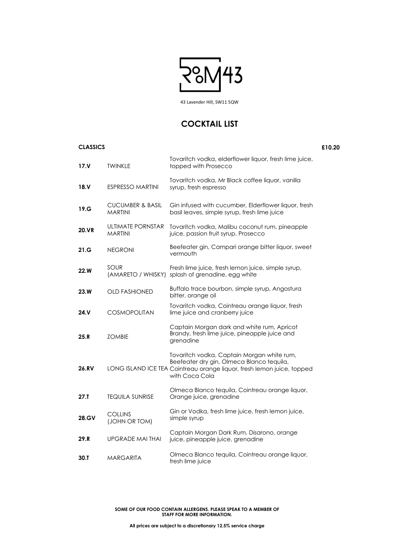| <b>CLASSICS</b> |                                               |                                                                                                                                                                   | £10.20 |
|-----------------|-----------------------------------------------|-------------------------------------------------------------------------------------------------------------------------------------------------------------------|--------|
| 17. V           | <b>TWINKLE</b>                                | Tovaritch vodka, elderflower liquor, fresh lime juice,<br>topped with Prosecco                                                                                    |        |
| 18. V           | <b>ESPRESSO MARTINI</b>                       | Tovaritch vodka, Mr Black coffee liquor, vanilla<br>syrup, fresh espresso                                                                                         |        |
| 19.G            | <b>CUCUMBER &amp; BASIL</b><br><b>MARTINI</b> | Gin infused with cucumber, Elderflower liquor, fresh<br>basil leaves, simple syrup, fresh lime juice                                                              |        |
| <b>20.VR</b>    | ULTIMATE PORNSTAR<br><b>MARTINI</b>           | Tovaritch vodka, Malibu coconut rum, pineapple<br>juice, passion fruit syrup, Prosecco                                                                            |        |
| 21.G            | <b>NEGRONI</b>                                | Beefeater gin, Campari orange bitter liquor, sweet<br>vermouth                                                                                                    |        |
| <b>22.W</b>     | SOUR                                          | Fresh lime juice, fresh lemon juice, simple syrup,<br>(AMARETO / WHISKY) splash of grenadine, egg white                                                           |        |
| 23.W            | <b>OLD FASHIONED</b>                          | Buffalo trace bourbon, simple syrup, Angostura<br>bitter, orange oil                                                                                              |        |
| 24.V            | <b>COSMOPOLITAN</b>                           | Tovaritch vodka, Cointreau orange liquor, fresh<br>lime juice and cranberry juice                                                                                 |        |
| 25.R            | <b>ZOMBIE</b>                                 | Captain Morgan dark and white rum, Apricot<br>Brandy, fresh lime juice, pineapple juice and<br>grenadine                                                          |        |
| <b>26.RV</b>    |                                               | Tovaritch vodka, Captain Morgan white rum,<br>Beefeater dry gin, Olmeca Blanco tequila,<br>LONG ISLAND ICE TEA Cointreau orange liquor, fresh lemon juice, topped |        |

| $27.$ T      | <b>TEQUILA SUNRISE</b>          | Olmeca Blanco tequila, Cointreau orange liquor,<br>Orange juice, grenadine     |
|--------------|---------------------------------|--------------------------------------------------------------------------------|
| <b>28.GV</b> | <b>COLLINS</b><br>(JOHN OR TOM) | Gin or Vodka, fresh lime juice, fresh lemon juice,<br>simple syrup             |
| 29.R         | UPGRADE MAI THAI                | Captain Morgan Dark Rum, Disarono, orange<br>juice, pineapple juice, grenadine |
| 30.1         | <b>MARGARITA</b>                | Olmeca Blanco tequila, Cointreau orange liquor,<br>fresh lime juice            |

#### **SOME OF OUR FOOD CONTAIN ALLERGENS. PLEASE SPEAK TO A MEMBER OF STAFF FOR MORE INFORMATION.**

**All prices are subject to a discretionary 12.5% service charge**



43 Lavender Hill, SW11 5QW

### **COCKTAIL LIST**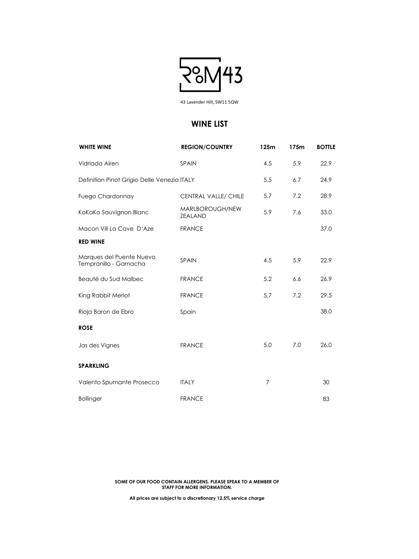| <b>WHITE WINE</b>                                  | <b>REGION/COUNTRY</b>             | 125m | 175m | <b>BOTTLE</b> |
|----------------------------------------------------|-----------------------------------|------|------|---------------|
| Vidriada Airen                                     | SPAIN                             | 4.5  | 5.9  | 22.9          |
| Definition Pinot Grigio Delle Venezia ITALY        |                                   | 5.5  | 6.7  | 24.9          |
| <b>Fuego Chardonnay</b>                            | <b>CENTRAL VALLE/ CHILE</b>       | 5.7  | 7.2  | 28.9          |
| KoKaKo Sauvignon Blanc                             | MARLBOROUGH/NEW<br><b>ZEALAND</b> | 5.9  | 7.6  | 33.0          |
| Macon Vill La Cave D'Aze                           | <b>FRANCE</b>                     |      |      | 37.0          |
| <b>RED WINE</b>                                    |                                   |      |      |               |
| Marques del Puente Nuevo<br>Tempranillo - Garnacha | SPAIN                             | 4.5  | 5.9  | 22.9          |
| Beauté du Sud Malbec                               | <b>FRANCE</b>                     | 5.2  | 6.6  | 26.9          |
| King Rabbit Merlot                                 | <b>FRANCE</b>                     | 5.7  | 7.2  | 29.5          |
| Rioja Baron de Ebro                                | Spain                             |      |      | 38.0          |
| <b>ROSE</b>                                        |                                   |      |      |               |
| Jas des Vignes                                     | <b>FRANCE</b>                     | 5.0  | 7.0  | 26.0          |

**SPARKLING**

| Valento Spumante Prosecco | ITALY         | 30 |
|---------------------------|---------------|----|
| <b>Bollinger</b>          | <b>FRANCE</b> | 83 |

#### **SOME OF OUR FOOD CONTAIN ALLERGENS. PLEASE SPEAK TO A MEMBER OF STAFF FOR MORE INFORMATION.**

**All prices are subject to a discretionary 12.5% service charge**



43 Lavender Hill, SW11 5QW

### **WINE LIST**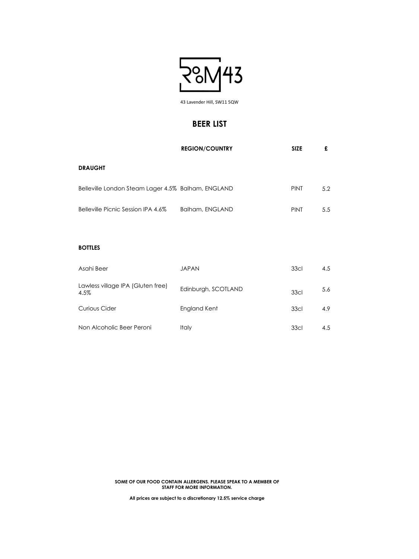|                                                    | <b>REGION/COUNTRY</b>  | <b>SIZE</b> | £   |
|----------------------------------------------------|------------------------|-------------|-----|
| <b>DRAUGHT</b>                                     |                        |             |     |
| Belleville London Steam Lager 4.5% Balham, ENGLAND |                        | <b>PINT</b> | 5.2 |
| Belleville Picnic Session IPA 4.6%                 | <b>Balham, ENGLAND</b> | <b>PINT</b> | 5.5 |
|                                                    |                        |             |     |
| <b>BOTTLES</b>                                     |                        |             |     |
| Asahi Beer                                         | <b>JAPAN</b>           | <b>33cl</b> | 4.5 |
| Lawless village IPA (Gluten free)<br>4.5%          | Edinburgh, SCOTLAND    | 33cl        | 5.6 |
| <b>Curious Cider</b>                               | <b>England Kent</b>    | 33cl        | 4.9 |
| Non Alcoholic Beer Peroni                          | <b>Italy</b>           | 33cl        | 4.5 |

#### **SOME OF OUR FOOD CONTAIN ALLERGENS. PLEASE SPEAK TO A MEMBER OF STAFF FOR MORE INFORMATION.**

**All prices are subject to a discretionary 12.5% service charge**



43 Lavender Hill, SW11 5QW

### **BEER LIST**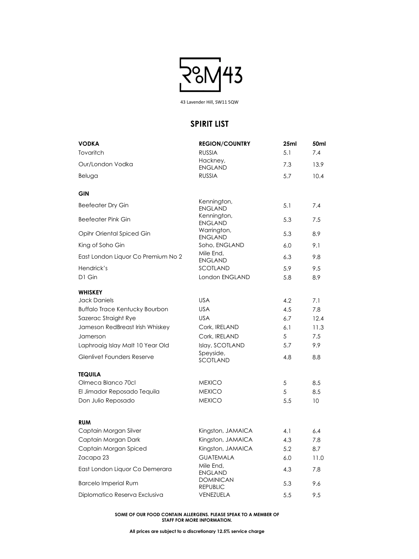| <b>VODKA</b>                          | <b>REGION/COUNTRY</b>         | 25ml | 50ml |
|---------------------------------------|-------------------------------|------|------|
| Tovaritch                             | <b>RUSSIA</b>                 | 5.1  | 7.4  |
| Our/London Vodka                      | Hackney,<br><b>ENGLAND</b>    | 7.3  | 13.9 |
| Beluga                                | <b>RUSSIA</b>                 | 5.7  | 10.4 |
| <b>GIN</b>                            |                               |      |      |
| <b>Beefeater Dry Gin</b>              | Kennington,<br><b>ENGLAND</b> | 5.1  | 7.4  |
| <b>Beefeater Pink Gin</b>             | Kennington,<br><b>ENGLAND</b> | 5.3  | 7.5  |
| <b>Opihr Oriental Spiced Gin</b>      | Warrington,<br><b>ENGLAND</b> | 5.3  | 8.9  |
| King of Soho Gin                      | Soho, ENGLAND                 | 6.0  | 9.1  |
| East London Liquor Co Premium No 2    | Mile End,<br><b>ENGLAND</b>   | 6.3  | 9.8  |
| Hendrick's                            | SCOTLAND                      | 5.9  | 9.5  |
| D1 Gin                                | London ENGLAND                | 5.8  | 8.9  |
| <b>WHISKEY</b>                        |                               |      |      |
| <b>Jack Daniels</b>                   | <b>USA</b>                    | 4.2  | 7.1  |
| <b>Buffalo Trace Kentucky Bourbon</b> | <b>USA</b>                    | 4.5  | 7.8  |
| Sazerac Straight Rye                  | <b>USA</b>                    | 6.7  | 12.4 |
| Jameson RedBreast Irish Whiskey       | Cork, IRELAND                 | 6.1  | 11.3 |
| Jamerson                              | Cork, IRELAND                 | 5    | 7.5  |
| Laphroaig Islay Malt 10 Year Old      | Islay, SCOTLAND               | 5.7  | 9.9  |
| <b>Glenlivet Founders Reserve</b>     | Speyside,<br>SCOTLAND         | 4.8  | 8.8  |

**TEQUILA**

| ILWUILA                        |                                     |     |                 |
|--------------------------------|-------------------------------------|-----|-----------------|
| Olmeca Blanco 70cl             | <b>MEXICO</b>                       | 5   | 8.5             |
| El Jimador Reposado Tequila    | <b>MEXICO</b>                       | 5   | 8.5             |
| Don Julio Reposado             | <b>MEXICO</b>                       | 5.5 | 10 <sup>°</sup> |
|                                |                                     |     |                 |
| <b>RUM</b>                     |                                     |     |                 |
| Captain Morgan Silver          | Kingston, JAMAICA                   | 4.1 | 6.4             |
| Captain Morgan Dark            | Kingston, JAMAICA                   | 4.3 | 7.8             |
| Captain Morgan Spiced          | Kingston, JAMAICA                   | 5.2 | 8.7             |
| Zacapa 23                      | <b>GUATEMALA</b>                    | 6.0 | 11.0            |
| East London Liquor Co Demerara | Mile End,<br><b>ENGLAND</b>         | 4.3 | 7.8             |
| <b>Barcelo Imperial Rum</b>    | <b>DOMINICAN</b><br><b>REPUBLIC</b> | 5.3 | 9.6             |
| Diplomatico Reserva Exclusiva  | <b>VENEZUELA</b>                    | 5.5 | 9.5             |

#### **SOME OF OUR FOOD CONTAIN ALLERGENS. PLEASE SPEAK TO A MEMBER OF STAFF FOR MORE INFORMATION.**

**All prices are subject to a discretionary 12.5% service charge**



43 Lavender Hill, SW11 5QW

### **SPIRIT LIST**